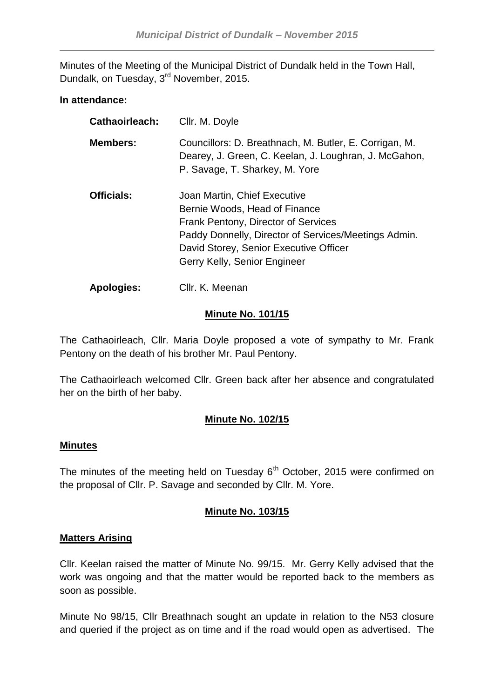Minutes of the Meeting of the Municipal District of Dundalk held in the Town Hall, Dundalk, on Tuesday, 3<sup>rd</sup> November, 2015.

### **In attendance:**

| <b>Cathaoirleach:</b> | Cllr. M. Doyle                                                                                                                                                                                                                         |
|-----------------------|----------------------------------------------------------------------------------------------------------------------------------------------------------------------------------------------------------------------------------------|
| <b>Members:</b>       | Councillors: D. Breathnach, M. Butler, E. Corrigan, M.<br>Dearey, J. Green, C. Keelan, J. Loughran, J. McGahon,<br>P. Savage, T. Sharkey, M. Yore                                                                                      |
| <b>Officials:</b>     | Joan Martin, Chief Executive<br>Bernie Woods, Head of Finance<br>Frank Pentony, Director of Services<br>Paddy Donnelly, Director of Services/Meetings Admin.<br>David Storey, Senior Executive Officer<br>Gerry Kelly, Senior Engineer |
| <b>Apologies:</b>     | Cllr. K. Meenan                                                                                                                                                                                                                        |

## **Minute No. 101/15**

The Cathaoirleach, Cllr. Maria Doyle proposed a vote of sympathy to Mr. Frank Pentony on the death of his brother Mr. Paul Pentony.

The Cathaoirleach welcomed Cllr. Green back after her absence and congratulated her on the birth of her baby.

# **Minute No. 102/15**

### **Minutes**

The minutes of the meeting held on Tuesday  $6<sup>th</sup>$  October, 2015 were confirmed on the proposal of Cllr. P. Savage and seconded by Cllr. M. Yore.

# **Minute No. 103/15**

# **Matters Arising**

Cllr. Keelan raised the matter of Minute No. 99/15. Mr. Gerry Kelly advised that the work was ongoing and that the matter would be reported back to the members as soon as possible.

Minute No 98/15, Cllr Breathnach sought an update in relation to the N53 closure and queried if the project as on time and if the road would open as advertised. The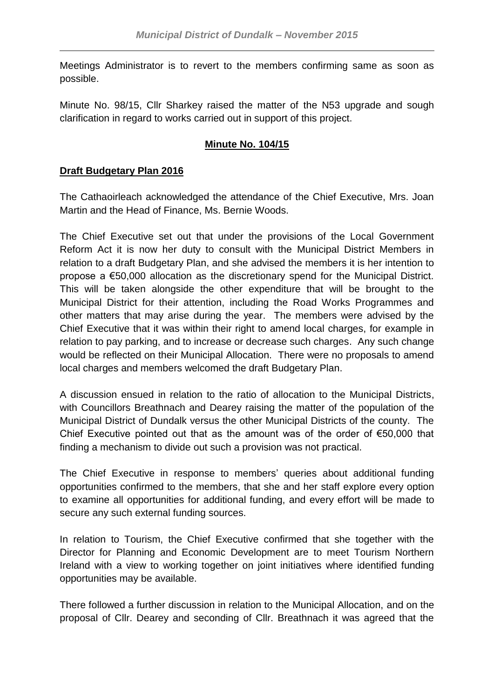Meetings Administrator is to revert to the members confirming same as soon as possible.

Minute No. 98/15, Cllr Sharkey raised the matter of the N53 upgrade and sough clarification in regard to works carried out in support of this project.

# **Minute No. 104/15**

## **Draft Budgetary Plan 2016**

The Cathaoirleach acknowledged the attendance of the Chief Executive, Mrs. Joan Martin and the Head of Finance, Ms. Bernie Woods.

The Chief Executive set out that under the provisions of the Local Government Reform Act it is now her duty to consult with the Municipal District Members in relation to a draft Budgetary Plan, and she advised the members it is her intention to propose a €50,000 allocation as the discretionary spend for the Municipal District. This will be taken alongside the other expenditure that will be brought to the Municipal District for their attention, including the Road Works Programmes and other matters that may arise during the year. The members were advised by the Chief Executive that it was within their right to amend local charges, for example in relation to pay parking, and to increase or decrease such charges. Any such change would be reflected on their Municipal Allocation. There were no proposals to amend local charges and members welcomed the draft Budgetary Plan.

A discussion ensued in relation to the ratio of allocation to the Municipal Districts, with Councillors Breathnach and Dearey raising the matter of the population of the Municipal District of Dundalk versus the other Municipal Districts of the county. The Chief Executive pointed out that as the amount was of the order of €50,000 that finding a mechanism to divide out such a provision was not practical.

The Chief Executive in response to members' queries about additional funding opportunities confirmed to the members, that she and her staff explore every option to examine all opportunities for additional funding, and every effort will be made to secure any such external funding sources.

In relation to Tourism, the Chief Executive confirmed that she together with the Director for Planning and Economic Development are to meet Tourism Northern Ireland with a view to working together on joint initiatives where identified funding opportunities may be available.

There followed a further discussion in relation to the Municipal Allocation, and on the proposal of Cllr. Dearey and seconding of Cllr. Breathnach it was agreed that the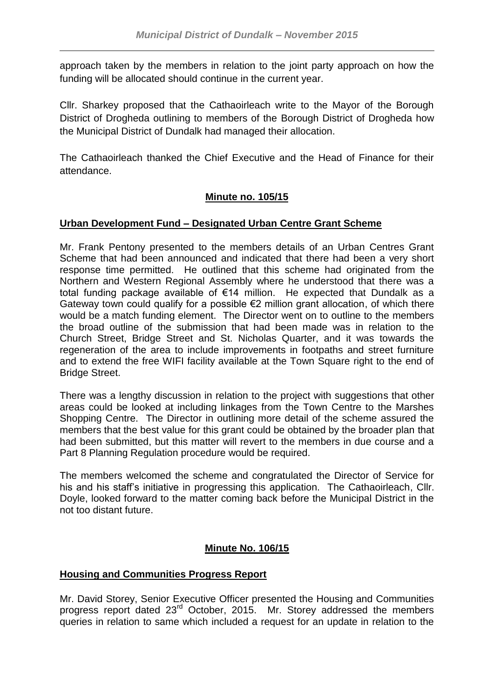approach taken by the members in relation to the joint party approach on how the funding will be allocated should continue in the current year.

Cllr. Sharkey proposed that the Cathaoirleach write to the Mayor of the Borough District of Drogheda outlining to members of the Borough District of Drogheda how the Municipal District of Dundalk had managed their allocation.

The Cathaoirleach thanked the Chief Executive and the Head of Finance for their attendance.

# **Minute no. 105/15**

# **Urban Development Fund – Designated Urban Centre Grant Scheme**

Mr. Frank Pentony presented to the members details of an Urban Centres Grant Scheme that had been announced and indicated that there had been a very short response time permitted. He outlined that this scheme had originated from the Northern and Western Regional Assembly where he understood that there was a total funding package available of €14 million. He expected that Dundalk as a Gateway town could qualify for a possible €2 million grant allocation, of which there would be a match funding element. The Director went on to outline to the members the broad outline of the submission that had been made was in relation to the Church Street, Bridge Street and St. Nicholas Quarter, and it was towards the regeneration of the area to include improvements in footpaths and street furniture and to extend the free WIFI facility available at the Town Square right to the end of Bridge Street.

There was a lengthy discussion in relation to the project with suggestions that other areas could be looked at including linkages from the Town Centre to the Marshes Shopping Centre. The Director in outlining more detail of the scheme assured the members that the best value for this grant could be obtained by the broader plan that had been submitted, but this matter will revert to the members in due course and a Part 8 Planning Regulation procedure would be required.

The members welcomed the scheme and congratulated the Director of Service for his and his staff's initiative in progressing this application. The Cathaoirleach, Cllr. Doyle, looked forward to the matter coming back before the Municipal District in the not too distant future.

# **Minute No. 106/15**

# **Housing and Communities Progress Report**

Mr. David Storey, Senior Executive Officer presented the Housing and Communities progress report dated 23rd October, 2015. Mr. Storey addressed the members queries in relation to same which included a request for an update in relation to the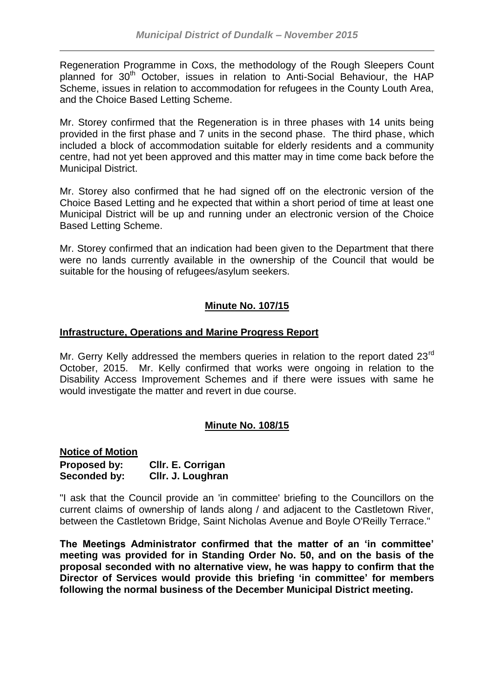Regeneration Programme in Coxs, the methodology of the Rough Sleepers Count planned for 30<sup>th</sup> October, issues in relation to Anti-Social Behaviour, the HAP Scheme, issues in relation to accommodation for refugees in the County Louth Area, and the Choice Based Letting Scheme.

Mr. Storey confirmed that the Regeneration is in three phases with 14 units being provided in the first phase and 7 units in the second phase. The third phase, which included a block of accommodation suitable for elderly residents and a community centre, had not yet been approved and this matter may in time come back before the Municipal District.

Mr. Storey also confirmed that he had signed off on the electronic version of the Choice Based Letting and he expected that within a short period of time at least one Municipal District will be up and running under an electronic version of the Choice Based Letting Scheme.

Mr. Storey confirmed that an indication had been given to the Department that there were no lands currently available in the ownership of the Council that would be suitable for the housing of refugees/asylum seekers.

## **Minute No. 107/15**

### **Infrastructure, Operations and Marine Progress Report**

Mr. Gerry Kelly addressed the members queries in relation to the report dated 23<sup>rd</sup> October, 2015. Mr. Kelly confirmed that works were ongoing in relation to the Disability Access Improvement Schemes and if there were issues with same he would investigate the matter and revert in due course.

# **Minute No. 108/15**

**Notice of Motion Proposed by: Cllr. E. Corrigan Seconded by: Cllr. J. Loughran**

"I ask that the Council provide an 'in committee' briefing to the Councillors on the current claims of ownership of lands along / and adjacent to the Castletown River, between the Castletown Bridge, Saint Nicholas Avenue and Boyle O'Reilly Terrace."

**The Meetings Administrator confirmed that the matter of an 'in committee' meeting was provided for in Standing Order No. 50, and on the basis of the proposal seconded with no alternative view, he was happy to confirm that the Director of Services would provide this briefing 'in committee' for members following the normal business of the December Municipal District meeting.**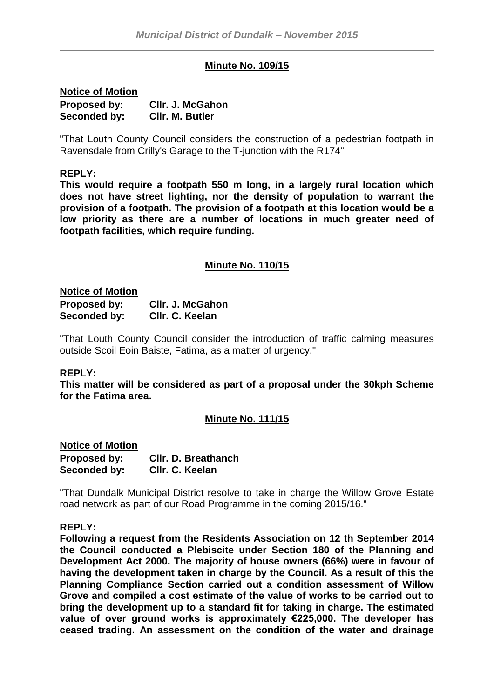### **Minute No. 109/15**

**Notice of Motion Proposed by: Cllr. J. McGahon Seconded by: Cllr. M. Butler**

"That Louth County Council considers the construction of a pedestrian footpath in Ravensdale from Crilly's Garage to the T-junction with the R174"

#### **REPLY:**

**This would require a footpath 550 m long, in a largely rural location which does not have street lighting, nor the density of population to warrant the provision of a footpath. The provision of a footpath at this location would be a low priority as there are a number of locations in much greater need of footpath facilities, which require funding.**

#### **Minute No. 110/15**

#### **Notice of Motion**

| <b>Proposed by:</b> | CIIr. J. McGahon |
|---------------------|------------------|
| Seconded by:        | Cllr. C. Keelan  |

"That Louth County Council consider the introduction of traffic calming measures outside Scoil Eoin Baiste, Fatima, as a matter of urgency."

#### **REPLY:**

**This matter will be considered as part of a proposal under the 30kph Scheme for the Fatima area.**

#### **Minute No. 111/15**

### **Notice of Motion Proposed by: Cllr. D. Breathanch Seconded by: Cllr. C. Keelan**

"That Dundalk Municipal District resolve to take in charge the Willow Grove Estate road network as part of our Road Programme in the coming 2015/16."

#### **REPLY:**

**Following a request from the Residents Association on 12 th September 2014 the Council conducted a Plebiscite under Section 180 of the Planning and Development Act 2000. The majority of house owners (66%) were in favour of having the development taken in charge by the Council. As a result of this the Planning Compliance Section carried out a condition assessment of Willow Grove and compiled a cost estimate of the value of works to be carried out to bring the development up to a standard fit for taking in charge. The estimated value of over ground works is approximately €225,000. The developer has ceased trading. An assessment on the condition of the water and drainage**